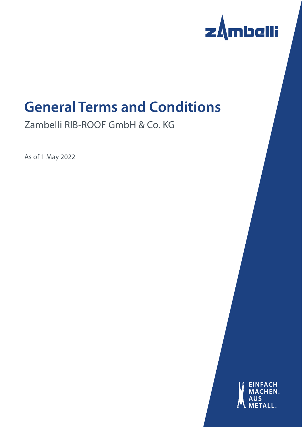

# **General Terms and Conditions**

Zambelli RIB-ROOF GmbH & Co. KG

As of 1 May 2022

**EINFACH** HEN. **MAC**  $\mathbf{H}$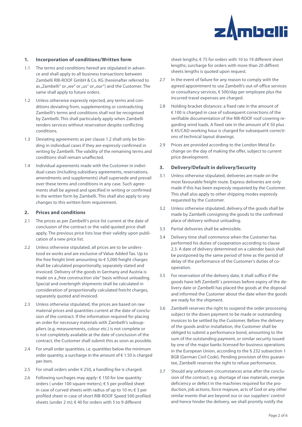

## **1. Incorporation of conditions/Written form**

- 1.1 The terms and conditions hereof are stipulated in advance and shall apply to all business transactions between Zambelli RIB-ROOF GmbH & Co. KG (hereinafter referred to as "Zambelli" or "we" or "us" or "our") and the Customer. The same shall apply to future orders.
- 1.2 Unless otherwise expressly rejected, any terms and conditions deviating from, supplementing or contradicting Zambelli's terms and conditions shall not be recognised by Zambelli. This shall particularly apply when Zambelli renders services without reservation despite conflicting conditions.
- 1.3 Deviating agreements as per clause 1.2 shall only be binding in individual cases if they are expressly confirmed in writing by Zambelli. The validity of the remaining terms and conditions shall remain unaffected.
- 1.4 Individual agreements made with the Customer in individual cases (including subsidiary agreements, reservations, amendments and supplements) shall supersede and prevail over these terms and conditions in any case. Such agreements shall be agreed and specified in writing or confirmed in the written form by Zambelli. This shall also apply to any changes to this written form requirement.

#### **2. Prices and conditions**

- 2.1 The prices as per Zambelli's price list current at the date of conclusion of the contract or the valid quoted price shall apply. The previous price lists lose their validity upon publication of a new price list.
- 2.2 Unless otherwise stipulated, all prices are to be understood ex works and are exclusive of Value Added Tax. Up to the free freight limit amounting to  $\epsilon$  5,000 freight charges shall be calculated proportionally, separately stated and invoiced. Delivery of the goods in Germany and Austria is made on a "free construction site" basis without unloading. Special and overlength shipments shall be calculated in consideration of proportionally calculated freicht charges, separately quoted and invoiced.
- 2.3 Unless otherwise stipulated, the prices are based on raw material prices and quantities current at the date of conclusion of the contract. If the information required for placing an order for necessary materials with Zambelli's subsuppliers (e.g. measurements, colour etc.) is not complete or is not completely available at the date of conclusion of the contract, the Customer shall submit this as soon as possible.
- 2.4 For small order quantities, i.e. quantities below the minimum order quantity, a surcharge in the amount of  $\epsilon$  1.50 is charged per item.
- 2.5 For small orders under  $\epsilon$  250, a handling fee is charged.
- 2.6 Following surchages may apply: € 150 for low quantity orders ( under 100 square meters); € 5 per profiled sheet in case of curved sheets with radius of up to 10 m;  $\in$  3 per profiled sheet in case of short RIB-ROOF Speed 500 profiled sheets (under 2 m);  $\in$  40 for orders with 5 to 9 different

sheet lengths; € 75 for orders with 10 to 19 different sheet lengths; surcharge for orders with more than 20 diffrent sheets lengths is quoted upon request.

- 2.7 In the event of failure for any reason to comply with the agreed appointment to use Zambelli's out-of-office services or consultancy services, € 500/day per employee plus the incurred travel expenses are charged.
- 2.8 Holding bracket distances: a fixed rate in the amount of € 100 is charged in case of subsequent corrections of the verifiable documentation of the RIB-ROOF roof covering regarding wind loads. A fixed rate in the amount of  $\epsilon$  50 plus € 45/CAD-working hour is charged for subsequent corrections of technical layout drawings.
- 2.9 Prices are provided according to the London Metal Exchange on the day of making the offer, subject to current price development.

#### **3. Delivery/Default in delivery/Security**

- 3.1 Unless otherwise stipulated, deliveries are made on the most favourable freight route. Express deliveries are only made if this has been expressly requested by the Customer. This shall also apply to other shipping modes expressly requested by the Customer.
- 3.2 Unless otherwise stipulated, delivery of the goods shall be made by Zambelli consigning the goods to the confirmed place of delivery without unloading.
- 3.3 Partial deliveries shall be admissible.
- 3.4 Delivery time shall commence when the Customer has performed his duties of cooperation according to clause 2.3. A date of delivery determined on a calender basis shall be postponed by the same period of time as the period of delay of the performance of the Customer's duties of cooperation.
- 3.5 For reservation of the delivery date, it shall suffice if the goods have left Zambelli`s premises before expiry of the delivery date or Zambelli has placed the goods at the disposal and informed the Customer about the date when the goods are ready for the shipment.
- 3.6 Zambelli reserves the right to suspend the order processing subject to the down payment to be made or outstanding invoices to be settled by the Customer. Before the delivery of the goods and/or installation, the Customer shall be obliged to submit a performance bond, amounting to the sum of the outstanding payment, or similar security issued by one of the major banks licensed for business operations in the European Union, according to the § 232 subsection 1 BGB (German Civil Code). Pending provision of this guarantee, Zambelli reserves the right to refuse performance.
- 3.7 Should any unforseen circumstances arise after the conclusion of the contract, e.g. shortage of raw materials, energie deficiency or defect in the machines required for the production, job actions, force majeure, acts of God or any other similar events that are beyond our or our suppliers' control and hence hinder the delivery, we shall promtly notify the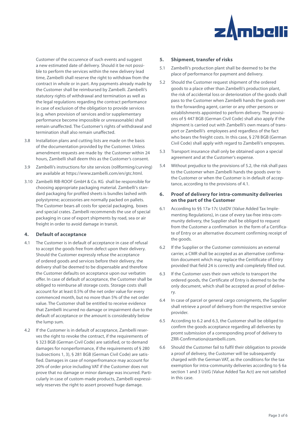

Customer of the occurence of such events and suggest a new estimated date of delivery. Should it be not possible to perform the services within the new delivery lead time, Zambelli shall reserve the right to withdraw from the contract in whole or in part. Any payments already made by the Customer shall be reimbursed by Zambelli. Zambelli's statutory rights of withdrawal and termination as well as the legal regulations regarding the contract performance in case of exclusion of the obligation to provide services (e.g. when provision of services and/or supplementary performance become impossible or unreasonable) shall remain unaffected. The Customer's rights of withdrawal and termination shall also remain unaffected.

- 3.8 Installation plans and cutting lists are made on the basis of the documentation provided by the Customer. Unless amendment requests are made by the Customer within 24 hours, Zambelli shall deem this as the Customer's consent.
- 3.9 Zambelli's instructions for site services (rollforming/curving) are available at https://www.zambelli.com/en/gtc.html.
- 3.10 Zambelli RIB-ROOF GmbH & Co. KG shall be responsible for choosing appropriate packaging material. Zambelli's standard packaging for profiled sheets is bundles lashed with polystyrene; accessories are normally packed on pallets. The Customer bears all costs for special packaging, boxes and special crates. Zambelli recommends the use of special packaging in case of export shipments by road, sea or air freight in order to avoid damage in transit.

## **4. Default of acceptance**

- 4.1 The Customer is in default of acceptance in case of refusal to accept the goods free from defect upon their delivery. Should the Customer expressly refuse the acceptance of ordered goods and services before their delivery, the delivery shall be deemed to be dispensable and therefore the Customer defaults on acceptance upon our verbatim offer. In case of default of acceptance, the Customer shall be obliged to reimburse all storage costs. Storage costs shall account for at least 0.5% of the net order value for every commenced month, but no more than 5% of the net order value. The Customer shall be entitled to receive evidence that Zambelli incurred no damage or impairment due to the default of acceptance or the amount is considerably below the lump sum.
- 4.2 If the Customer is in default of acceptance, Zambelli reserves the right to revoke the contract, if the requirements of § 323 BGB (German Civil Code) are satisfied, or to demand damages for nonperformance, if the requirements of § 280 (subsections 1, 3), § 281 BGB (German Civil Code) are satisfied. Damages in case of nonperfromance may account for 20% of order price including VAT if the Customer does not prove that no damage or minor damage was incurred. Particularly in case of custom-made products, Zambelli expressively reserves the right to assert prooved huge damage.

#### **5. Shipment, transfer of risks**

- 5.1 Zambelli's production plant shall be deemed to be the place of performance for payment and delivery.
- 5.2 Should the Customer request shipment of the ordered goods to a place other than Zambelli's production plant, the risk of accidental loss or deterioration of the goods shall pass to the Customer when Zambelli hands the goods over to the forwarding agent, carrier or any other persons or establishments appointed to perform delivery. The provisions of § 447 BGB (German Civil Code) shall also apply if the shipment is carried out with Zambelli's own means of transport or Zambelli's employees and regardless of the fact who bears the freight costs. In this case, § 278 BGB (German Civil Code) shall apply with regard to Zambelli's empoyees.
- 5.3 Transport insurance shall only be obtained upon a special agreement and at the Customer's expense.
- 5.4 Without prejudice to the provisions of 5.2, the risk shall pass to the Customer when Zambelli hands the goods over to the Customer or when the Customer is in default of acceptance, according to the provisions of 4.1.

#### **6. Proof of delivery for intra-community deliveries on the part of the Customer**

- 6.1 According to §§ 17a-17c UstDV (Value Added Tax Implementing Regulations), in case of every tax-free intra-community delivery, the Supplier shall be obliged to request from the Customer a confirmation in the form of a Certificate of Entry or an alternative document confirming receipt of the goods.
- 6.2 If the Supplier or the Customer commissions an external carrier, a CMR shall be accepted as an alternative confirmation document which may replace the Ceritificate of Entry provided that field 24 is correctly and completely filled out.
- 6.3 If the Customer uses their own vehicle to transport the ordered goods, the Certificate of Entry is deemed to be the only document, which shall be accepted as proof of delivery.
- 6.4 In case of parcel or general cargo consigments, the Supplier shall retrieve a proof of delivery from the respective service provider.
- 6.5 According to 6.2 and 6.3, the Customer shall be obliged to confirm the goods acceptance regarding all deliveries by promt submission of a corresponding proof of delivery to ZRR-Confirmation@zambelli.com.
- 6.6 Should the Customer fail to fulfil their obligation to provide a proof of delivery, the Customer will be subsequently charged with the German VAT, as the conditions for the tax exemption for intra-community deliveries according to § 6a section 1 and 3 UstG (Value Added Tax Act) are not satisfied in this case.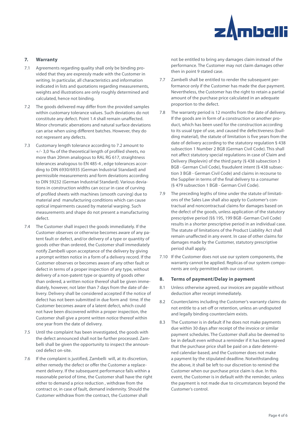

## **7. Warranty**

- 7.1 Agreements regarding quality shall only be binding provided that they are expressly made with the Customer in writing. In particular, all characteristics and information indicated in lists and quotations regarding measurements, weights and illustrations are only roughly determined and calculated, hence not binding.
- 7.2 The goods delivered may differ from the provided samples within customary tolerance values. Such deviations do not constitute any defect. Point 1.4 shall remain unaffected. Minor chromatic aberrations and natural surface deviations can arise when using different batches. However, they do not represent any defects.
- 7.3 Customary length tolerance according to 7.2 amount to +⁄- 3,0 ‰ of the theoretical length of profiled sheets, no more than 20mm analogous to RAL RG 617, straightness tolerances analogous to EN 485-4 , edge tolerances according to DIN 6930/6935 (German Industrial Standard) and permissible measurements and form deviations according to DIN 59232 (German Industrial Standard). Various deviations in construction widths can occur in case of curving of profiled sheets with machines (smooth curving) due to material and manufacturing conditions which can cause optical impairments caused by material warping. Such measurements and shape do not present a manufacturing defect.
- 7.4 The Customer shall inspect the goods immediately. If the Customer observes or otherwise becomes aware of any patent fault or defect, and/or delivery of a type or quantity of goods other than ordered, the Customer shall immediately notify Zambelli upon acceptance of the delivery by giving a prompt written notice in a form of a delivery record. If the Customer observes or becomes aware of any other fault or defect in terms of a proper inspection of any type, without delivery of a non-patent type or quantity of goods other than ordered, a written notice thereof shall be given immediately, however, not later than 7 days from the date of delivery. Delivery shall be considered accepted if the notice of defect has not been submitted in due form and time. If the Customer becomes aware of a latent defect, which could not have been discovered within a proper inspection, the Customer shall give a promt written notice thereof within one year from the date of delivery.
- 7.5 Until the complaint has been investigated, the goods with the defect announced shall not be further processed. Zambelli shall be given the opportunity to inspect the announced defect on-site.
- 7.6 If the complaint is justified, Zambelli will, at its discretion, either remedy the defect or offer the Customer a replacement delivery. If the subsequent performance fails within a reasonable period of time, the Customer shall have the right either to demand a price reduction , withdraw from the contract or, in case of fault, demand indemnity. Should the Customer withdraw from the contract, the Customer shall

not be entitled to bring any damages claim instead of the performance. The Customer may not claim damages other then in point 9 stated case.

- 7.7 Zambelli shall be entitled to render the subsequent performance only if the Customer has made the due payment. Nevertheless, the Customer has the right to retain a partial amount of the purchase price calculated in an adequate proportion to the defect.
- 7.8 The warranty period is 12 months from the date of delivery. If the goods are in form of a construction or another product, which has been used for the construction according to its usual type of use, and caused the defectiveness (building material), the statute of limitation is five years from the date of delivery according to the statutory regulation § 438 subsection 1 Number 2 BGB (German Civil Code). This shall not affect statutory special regulations in case of Claim and Delivery (Replevin) of the third party (§ 438 subsection 3 BGB - German Civil Code), fraudulent intent (§ 438 subsection 3 BGB - German Civil Code) and claims in recourse to the Supplier in terms of the final delivery to a consumer (§ 479 subsection 1 BGB - German Civil Code).
- 7.9 The preceding legths of time under the statute of limitations of the Sales Law shall also apply to Customer's contractual and noncontractual claims for damages based on the defect of the goods, unless application of the statutory prescriptive period (§§ 195, 199 BGB -German Civil Code) results in a shorter prescriptive period in an individual case. The statute of limitations of the Product Liability Act shall remain unaffected in any event. In case of other claims for damages made by the Customer, statutory prescriptive period shall apply.
- 7.10 If the Customer does not use our system components, the warranty cannot be applied. Replicas of our system components are only permitted with our consent.

## **8. Terms of payment/Delay in payment**

- 8.1 Unless otherwise agreed, our invoices are payable without deduction after receipt immediately.
- 8.2 Counterclaims including the Customer's warranty claims do not entitle to a set-off or retention, unless an undisputed and legally binding counterclaim exists.
- 8.3 The Customer is in default if he does not make payments due within 30 days after receipt of the invoice or similar payment schedules. The Customer shall also be deemed to be in default even without a reminder if it has been agreed that the purchase price shall be paid on a date determined calendar-based, and the Customer does not make a payment by the stipulated deadline. Notwithstanding the above, it shall be left to our discretion to remind the Customer when our purchase price claim is due. In this event, the Customer is in default with the reminder, unless the payment is not made due to circumstances beyond the Customer's control.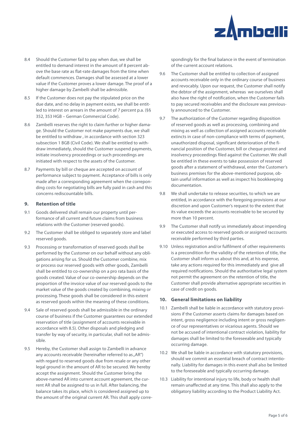

- 8.4 Should the Customer fail to pay when due, we shall be entitled to demand interest in the amount of 8 percent above the base rate as flat-rate damages from the time when default commences. Damages shall be assessed at a lower value if the Customer proves a lower damage. The proof of a higher damage by Zambelli shall be admissible.
- 8.5 If the Customer does not pay the stipulated price on the due date, and no delay in payment exists, we shall be entitled to interest on arrears in the amount of 7 percent p.a. (§§ 352, 353 HGB – German Commercial Code).
- 8.6 Zambelli reserves the right to claim further or higher damage. Should the Customer not make payments due, we shall be entitled to withdraw , in accordance with section 323 subsection 1 BGB (Civil Code). We shall be entitled to withdraw immediately, should the Customer suspend payments, initiate insolvency proceedings or such proceedings are initiated with respect to the assets of the Customer.
- 8.7 Payments by bill or cheque are accepted on account of performance subject to payment. Acceptance of bills is only made after a corresponding agreement when the correponding costs for negotiating bills are fully paid in cash and this concerns rediscountable bills.

## **9. Retention of title**

- 9.1 Goods delivered shall remain our property until performance of all current and future claims from business relations with the Customer (reserved goods).
- 9.2 The Customer shall be obliged to separately store and label reserved goods.
- 9.3 Processing or transformation of reserved goods shall be performed by the Customer on our behalf without any obligations arising for us. Should the Customer combine, mix or process our reserved goods with other goods, Zambelli shall be entitled to co-ownership on a pro rata basis of the goods created. Value of our co-ownership depends on the proportion of the invoice value of our reserved goods to the market value of the goods created by combining, mixing or processing. These goods shall be considered in this extent as reserved goods within the meaning of these conditions.
- 9.4 Sale of reserved goods shall be admissible in the ordinary course of business if the Customer guarantees our extended reservation of title (assignment of accounts receivable in accordance with 8.5). Other disposals and pledging and transfer by way of security, in particular, shall not be admissible.
- 9.5 Hereby, the Customer shall assign to Zambelli in advance any accounts receivable (hereinafter referred to as "AR") with regard to reserved goods due from resale or any other legal ground in the amount of AR to be secured. We hereby accept the assignment. Should the Customer bring the above-named AR into current account agreement, the current AR shall be assigned to us in full. After balancing, the balance takes its place, which is considered assigned up to the amount of the original current AR. This shall apply corre-

spondingly for the final balance in the event of termination of the current account relations.

- 9.6 The Customer shall be entitled to collection of assigned accounts receivable only in the ordinary course of business and revocably. Upon our request, the Customer shall notify the debtor of the assignment, whereas we ourselves shall also have the right of notification, when the Customer fails to pay secured receivables and the disclosure was previously announced to the Customer.
- 9.7 The authorization of the Customer regarding disposition of reserved goods as well as processing, combining and mixing as well as collection of assigned accounts receivable extincts in case of non-compliance with terms of payment, unauthorized disposal, significant deterioration of the financial position of the Customer, bill or cheque protest and insolvency proceedings filed against the Customer. We shall be entitled in these events to take possession of reserved goods after a statement of withdrawal, enter the Customer's business premises for the above-mentioned purpose, obtain useful information as well as inspect his bookkeeping documentation.
- 9.8 We shall undertake to release securities, to which we are entitled, in accordance with the foregoing provisions at our discretion and upon Customer's request to the extent that its value exceeds the accounts receivable to be secured by more than 10 percent.
- 9.9 The Customer shall notify us immediately about impending or executed access to reserved goods or assigned raccounts receivable performed by third parties.
- 9.10 Unless registration and/or fulfilment of other requirements is a precondition for the validity of the retention of title, the Customer shall inform us about this and, at his expense, take any actions required for this immediately and give all required notifications. Should the authoritative legal system not permit the agreement on the retention of title, the Customer shall provide alternative appropriate securities in case of credit on goods.

## **10. General limitations on liability**

- 10.1 Zambelli shall be liable in accordance with statutory provisions if the Customer asserts claims for damages based on intent, gross negligence including intent or gross negligence of our representatives or vicarious agents. Should we not be accused of intentional contract violation, liability for damages shall be limited to the foreseeable and typically occurring damage.
- 10.2 We shall be liable in accordance with statutory provisions, should we commit an essential breach of contract intentionally. Liability for damages in this event shall also be limited to the foreseeable and typically occurring damage.
- 10.3 Liability for intentional injury to life, body or health shall remain unaffected at any time. This shall also apply to the obligatory liability according to the Product Liability Act.